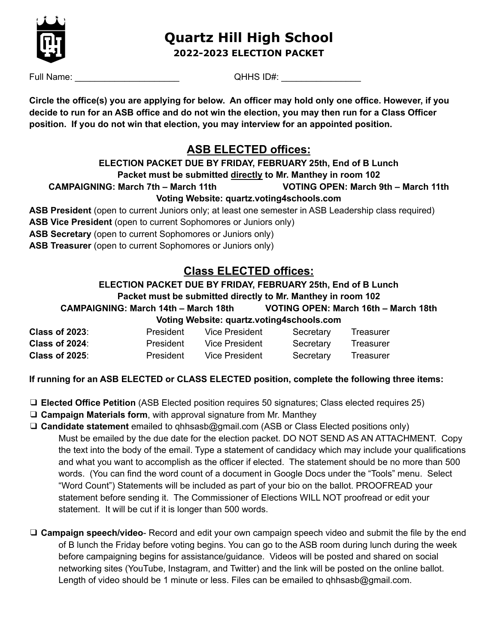

# **Quartz Hill High School 2022-2023 ELECTION PACKET**

Full Name:  $QHHS$  ID#:

Circle the office(s) you are applying for below. An officer may hold only one office. However, if you decide to run for an ASB office and do not win the election, you may then run for a Class Officer **position. If you do not win that election, you may interview for an appointed position.**

## **ASB ELECTED offices:**

# **ELECTION PACKET DUE BY FRIDAY, FEBRUARY 25th, End of B Lunch**

**Packet must be submitted directly to Mr. Manthey in room 102**

**CAMPAIGNING: March 7th – March 11th VOTING OPEN: March 9th – March 11th**

### **Voting Website: quartz.voting4schools.com**

- **ASB President** (open to current Juniors only; at least one semester in ASB Leadership class required)
- **ASB Vice President** (open to current Sophomores or Juniors only)
- **ASB Secretary** (open to current Sophomores or Juniors only)
- **ASB Treasurer** (open to current Sophomores or Juniors only)

# **Class ELECTED offices:**

### **ELECTION PACKET DUE BY FRIDAY, FEBRUARY 25th, End of B Lunch Packet must be submitted directly to Mr. Manthey in room 102 CAMPAIGNING: March 14th – March 18th VOTING OPEN: March 16th – March 18th**

|                        | <b>VOLING WEDSILE: QUARLE.VOLING4SCHOOIS.COM</b> |                |           |           |
|------------------------|--------------------------------------------------|----------------|-----------|-----------|
| <b>Class of 2023</b> : | President                                        | Vice President | Secretary | Treasurer |
| <b>Class of 2024</b> : | President                                        | Vice President | Secretary | Treasurer |
| <b>Class of 2025:</b>  | <b>President</b>                                 | Vice President | Secretary | Treasurer |

### **If running for an ASB ELECTED or CLASS ELECTED position, complete the following three items:**

**Voting Website: quartz.voting4schools.com**

- ❑ **Elected Office Petition** (ASB Elected position requires 50 signatures; Class elected requires 25)
- ❑ **Campaign Materials form**, with approval signature from Mr. Manthey
- ❑ **Candidate statement** emailed to qhhsasb@gmail.com (ASB or Class Elected positions only) Must be emailed by the due date for the election packet. DO NOT SEND AS AN ATTACHMENT. Copy the text into the body of the email. Type a statement of candidacy which may include your qualifications and what you want to accomplish as the officer if elected. The statement should be no more than 500 words. (You can find the word count of a document in Google Docs under the "Tools" menu. Select "Word Count") Statements will be included as part of your bio on the ballot. PROOFREAD your statement before sending it. The Commissioner of Elections WILL NOT proofread or edit your statement. It will be cut if it is longer than 500 words.
- ❑ **Campaign speech/video** Record and edit your own campaign speech video and submit the file by the end of B lunch the Friday before voting begins. You can go to the ASB room during lunch during the week before campaigning begins for assistance/guidance. Videos will be posted and shared on social networking sites (YouTube, Instagram, and Twitter) and the link will be posted on the online ballot. Length of video should be 1 minute or less. Files can be emailed to qhhsasb@gmail.com.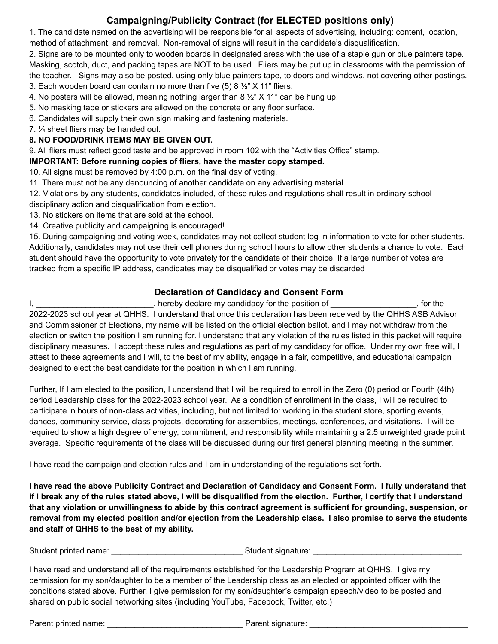## **Campaigning/Publicity Contract (for ELECTED positions only)**

1. The candidate named on the advertising will be responsible for all aspects of advertising, including: content, location, method of attachment, and removal. Non-removal of signs will result in the candidate's disqualification.

2. Signs are to be mounted only to wooden boards in designated areas with the use of a staple gun or blue painters tape. Masking, scotch, duct, and packing tapes are NOT to be used. Fliers may be put up in classrooms with the permission of the teacher. Signs may also be posted, using only blue painters tape, to doors and windows, not covering other postings.

3. Each wooden board can contain no more than five  $(5)$  8  $\frac{1}{2}$ " X 11" fliers.

4. No posters will be allowed, meaning nothing larger than 8  $\frac{1}{2}$ " X 11" can be hung up.

5. No masking tape or stickers are allowed on the concrete or any floor surface.

6. Candidates will supply their own sign making and fastening materials.

7. ¼ sheet fliers may be handed out.

#### **8. NO FOOD/DRINK ITEMS MAY BE GIVEN OUT.**

9. All fliers must reflect good taste and be approved in room 102 with the "Activities Office" stamp.

**IMPORTANT: Before running copies of fliers, have the master copy stamped.**

10. All signs must be removed by 4:00 p.m. on the final day of voting.

11. There must not be any denouncing of another candidate on any advertising material.

12. Violations by any students, candidates included, of these rules and regulations shall result in ordinary school disciplinary action and disqualification from election.

13. No stickers on items that are sold at the school.

14. Creative publicity and campaigning is encouraged!

15. During campaigning and voting week, candidates may not collect student log-in information to vote for other students. Additionally, candidates may not use their cell phones during school hours to allow other students a chance to vote. Each student should have the opportunity to vote privately for the candidate of their choice. If a large number of votes are tracked from a specific IP address, candidates may be disqualified or votes may be discarded

#### **Declaration of Candidacy and Consent Form**

I, \_\_\_\_\_\_\_\_\_\_\_\_\_\_\_\_\_\_\_\_\_\_\_\_\_\_, hereby declare my candidacy for the position of \_\_\_\_\_\_\_\_\_\_\_\_\_\_\_\_\_, for the 2022-2023 school year at QHHS. I understand that once this declaration has been received by the QHHS ASB Advisor and Commissioner of Elections, my name will be listed on the official election ballot, and I may not withdraw from the election or switch the position I am running for. I understand that any violation of the rules listed in this packet will require disciplinary measures. I accept these rules and regulations as part of my candidacy for office. Under my own free will, I attest to these agreements and I will, to the best of my ability, engage in a fair, competitive, and educational campaign designed to elect the best candidate for the position in which I am running.

Further, If I am elected to the position, I understand that I will be required to enroll in the Zero (0) period or Fourth (4th) period Leadership class for the 2022-2023 school year. As a condition of enrollment in the class, I will be required to participate in hours of non-class activities, including, but not limited to: working in the student store, sporting events, dances, community service, class projects, decorating for assemblies, meetings, conferences, and visitations. I will be required to show a high degree of energy, commitment, and responsibility while maintaining a 2.5 unweighted grade point average. Specific requirements of the class will be discussed during our first general planning meeting in the summer.

I have read the campaign and election rules and I am in understanding of the regulations set forth.

I have read the above Publicity Contract and Declaration of Candidacy and Consent Form. I fully understand that if I break any of the rules stated above, I will be disqualified from the election. Further, I certify that I understand that any violation or unwillingness to abide by this contract agreement is sufficient for grounding, suspension, or removal from my elected position and/or ejection from the Leadership class. I also promise to serve the students **and staff of QHHS to the best of my ability.**

Student printed name:  $\Box$  Student signature:  $\Box$ 

I have read and understand all of the requirements established for the Leadership Program at QHHS. I give my permission for my son/daughter to be a member of the Leadership class as an elected or appointed officer with the conditions stated above. Further, I give permission for my son/daughter's campaign speech/video to be posted and shared on public social networking sites (including YouTube, Facebook, Twitter, etc.)

Parent printed name: \_\_\_\_\_\_\_\_\_\_\_\_\_\_\_\_\_\_\_\_\_\_\_\_\_\_\_\_\_\_ Parent signature: \_\_\_\_\_\_\_\_\_\_\_\_\_\_\_\_\_\_\_\_\_\_\_\_\_\_\_\_\_\_\_\_\_\_\_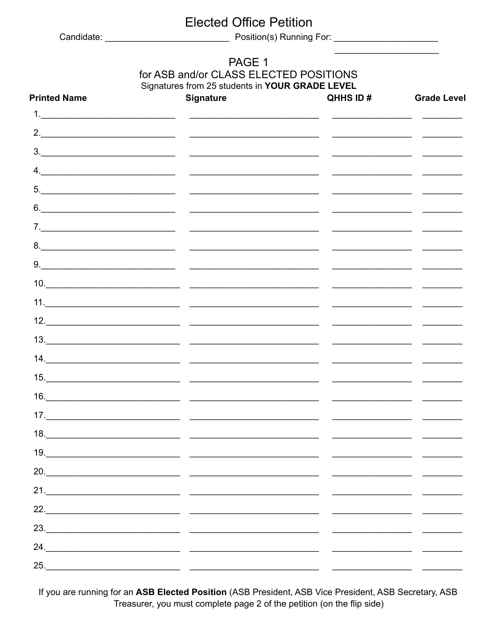# **Elected Office Petition**

### PAGE 1 for ASB and/or CLASS ELECTED POSITIONS Signatures from 25 students in YOUR GRADE LEVEL

| <b>Printed Name</b> | <b>Signature</b> | QHHS ID# | <b>Grade Level</b>                                 |
|---------------------|------------------|----------|----------------------------------------------------|
|                     |                  |          |                                                    |
|                     |                  |          |                                                    |
|                     |                  |          |                                                    |
|                     |                  |          |                                                    |
|                     |                  |          |                                                    |
|                     |                  |          |                                                    |
|                     |                  |          |                                                    |
|                     |                  |          |                                                    |
|                     |                  |          |                                                    |
|                     |                  |          |                                                    |
|                     |                  |          |                                                    |
|                     |                  |          |                                                    |
|                     |                  |          |                                                    |
|                     |                  |          |                                                    |
|                     |                  |          |                                                    |
|                     |                  |          |                                                    |
|                     |                  |          | <u> 1950 - Johann John Harry Hermann (b. 1940)</u> |
|                     | 18.              |          |                                                    |
| 19.                 |                  |          |                                                    |
|                     |                  |          |                                                    |
|                     |                  |          |                                                    |
|                     |                  |          |                                                    |
|                     |                  |          |                                                    |
|                     |                  |          |                                                    |
| 25.                 |                  |          |                                                    |

If you are running for an ASB Elected Position (ASB President, ASB Vice President, ASB Secretary, ASB Treasurer, you must complete page 2 of the petition (on the flip side)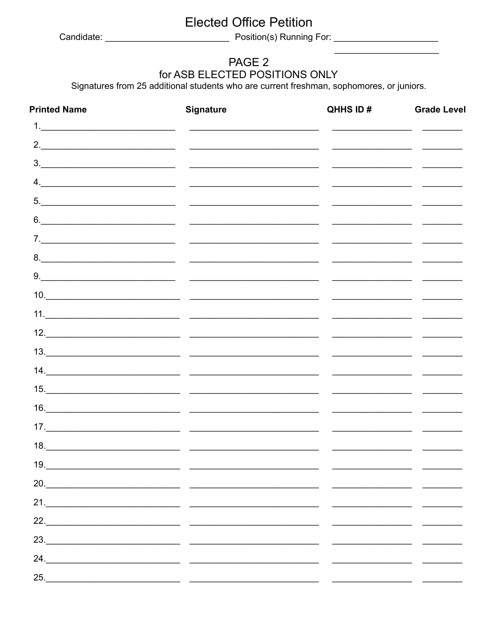# **Elected Office Petition**

## PAGE 2 for ASB ELECTED POSITIONS ONLY

Signatures from 25 additional students who are current freshman, sophomores, or juniors.

| <b>Printed Name</b> | <b>Signature</b> | QHHS ID# | <b>Grade Level</b>                                                                                                                                                                                                                   |
|---------------------|------------------|----------|--------------------------------------------------------------------------------------------------------------------------------------------------------------------------------------------------------------------------------------|
|                     |                  |          |                                                                                                                                                                                                                                      |
|                     |                  |          | <u> Alexandro de Alexandro de Alexandro de Alexandro de Alexandro de Alexandro de Alexandro de Alexandro de Alexandro de Alexandro de Alexandro de Alexandro de Alexandro de Alexandro de Alexandro de Alexandro de Alexandro de</u> |
|                     |                  |          |                                                                                                                                                                                                                                      |
|                     |                  |          |                                                                                                                                                                                                                                      |
|                     |                  |          |                                                                                                                                                                                                                                      |
|                     |                  |          |                                                                                                                                                                                                                                      |
|                     |                  |          |                                                                                                                                                                                                                                      |
|                     |                  |          |                                                                                                                                                                                                                                      |
|                     |                  |          |                                                                                                                                                                                                                                      |
|                     |                  |          |                                                                                                                                                                                                                                      |
|                     |                  |          |                                                                                                                                                                                                                                      |
|                     |                  |          |                                                                                                                                                                                                                                      |
|                     |                  |          |                                                                                                                                                                                                                                      |
|                     |                  |          |                                                                                                                                                                                                                                      |
|                     |                  |          |                                                                                                                                                                                                                                      |
|                     |                  |          |                                                                                                                                                                                                                                      |
|                     |                  |          |                                                                                                                                                                                                                                      |
|                     |                  |          |                                                                                                                                                                                                                                      |
| 19.                 |                  |          |                                                                                                                                                                                                                                      |
|                     | 20.              |          |                                                                                                                                                                                                                                      |
|                     |                  |          |                                                                                                                                                                                                                                      |
|                     |                  |          |                                                                                                                                                                                                                                      |
|                     |                  |          |                                                                                                                                                                                                                                      |
|                     |                  |          |                                                                                                                                                                                                                                      |
|                     |                  |          |                                                                                                                                                                                                                                      |
|                     |                  |          |                                                                                                                                                                                                                                      |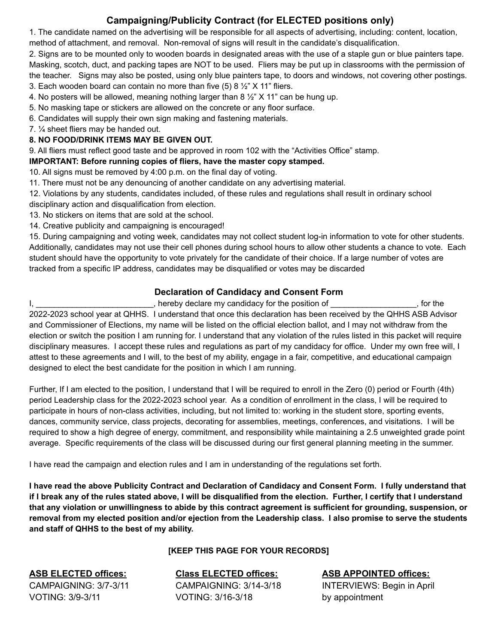## **Campaigning/Publicity Contract (for ELECTED positions only)**

1. The candidate named on the advertising will be responsible for all aspects of advertising, including: content, location, method of attachment, and removal. Non-removal of signs will result in the candidate's disqualification.

2. Signs are to be mounted only to wooden boards in designated areas with the use of a staple gun or blue painters tape. Masking, scotch, duct, and packing tapes are NOT to be used. Fliers may be put up in classrooms with the permission of the teacher. Signs may also be posted, using only blue painters tape, to doors and windows, not covering other postings. 3. Each wooden board can contain no more than five  $(5)$  8  $\frac{1}{2}$ " X 11" fliers.

4. No posters will be allowed, meaning nothing larger than 8 ½" X 11" can be hung up.

5. No masking tape or stickers are allowed on the concrete or any floor surface.

6. Candidates will supply their own sign making and fastening materials.

7. ¼ sheet fliers may be handed out.

#### **8. NO FOOD/DRINK ITEMS MAY BE GIVEN OUT.**

9. All fliers must reflect good taste and be approved in room 102 with the "Activities Office" stamp.

**IMPORTANT: Before running copies of fliers, have the master copy stamped.**

10. All signs must be removed by 4:00 p.m. on the final day of voting.

11. There must not be any denouncing of another candidate on any advertising material.

12. Violations by any students, candidates included, of these rules and regulations shall result in ordinary school disciplinary action and disqualification from election.

13. No stickers on items that are sold at the school.

14. Creative publicity and campaigning is encouraged!

15. During campaigning and voting week, candidates may not collect student log-in information to vote for other students. Additionally, candidates may not use their cell phones during school hours to allow other students a chance to vote. Each student should have the opportunity to vote privately for the candidate of their choice. If a large number of votes are tracked from a specific IP address, candidates may be disqualified or votes may be discarded

### **Declaration of Candidacy and Consent Form**

I, \_\_\_\_\_\_\_\_\_\_\_\_\_\_\_\_\_\_\_\_\_\_\_\_, hereby declare my candidacy for the position of \_\_\_\_\_\_\_\_\_\_\_\_\_\_\_\_\_, for the 2022-2023 school year at QHHS. I understand that once this declaration has been received by the QHHS ASB Advisor and Commissioner of Elections, my name will be listed on the official election ballot, and I may not withdraw from the election or switch the position I am running for. I understand that any violation of the rules listed in this packet will require disciplinary measures. I accept these rules and regulations as part of my candidacy for office. Under my own free will, I attest to these agreements and I will, to the best of my ability, engage in a fair, competitive, and educational campaign designed to elect the best candidate for the position in which I am running.

Further, If I am elected to the position, I understand that I will be required to enroll in the Zero (0) period or Fourth (4th) period Leadership class for the 2022-2023 school year. As a condition of enrollment in the class, I will be required to participate in hours of non-class activities, including, but not limited to: working in the student store, sporting events, dances, community service, class projects, decorating for assemblies, meetings, conferences, and visitations. I will be required to show a high degree of energy, commitment, and responsibility while maintaining a 2.5 unweighted grade point average. Specific requirements of the class will be discussed during our first general planning meeting in the summer.

I have read the campaign and election rules and I am in understanding of the regulations set forth.

I have read the above Publicity Contract and Declaration of Candidacy and Consent Form. I fully understand that if I break any of the rules stated above, I will be disqualified from the election. Further, I certify that I understand that any violation or unwillingness to abide by this contract agreement is sufficient for grounding, suspension, or removal from my elected position and/or ejection from the Leadership class. I also promise to serve the students **and staff of QHHS to the best of my ability.**

#### **[KEEP THIS PAGE FOR YOUR RECORDS]**

VOTING: 3/9-3/11 VOTING: 3/16-3/18 by appointment

**ASB ELECTED offices: Class ELECTED offices: ASB APPOINTED offices:** CAMPAIGNING: 3/7-3/11 CAMPAIGNING: 3/14-3/18 INTERVIEWS: Begin in April